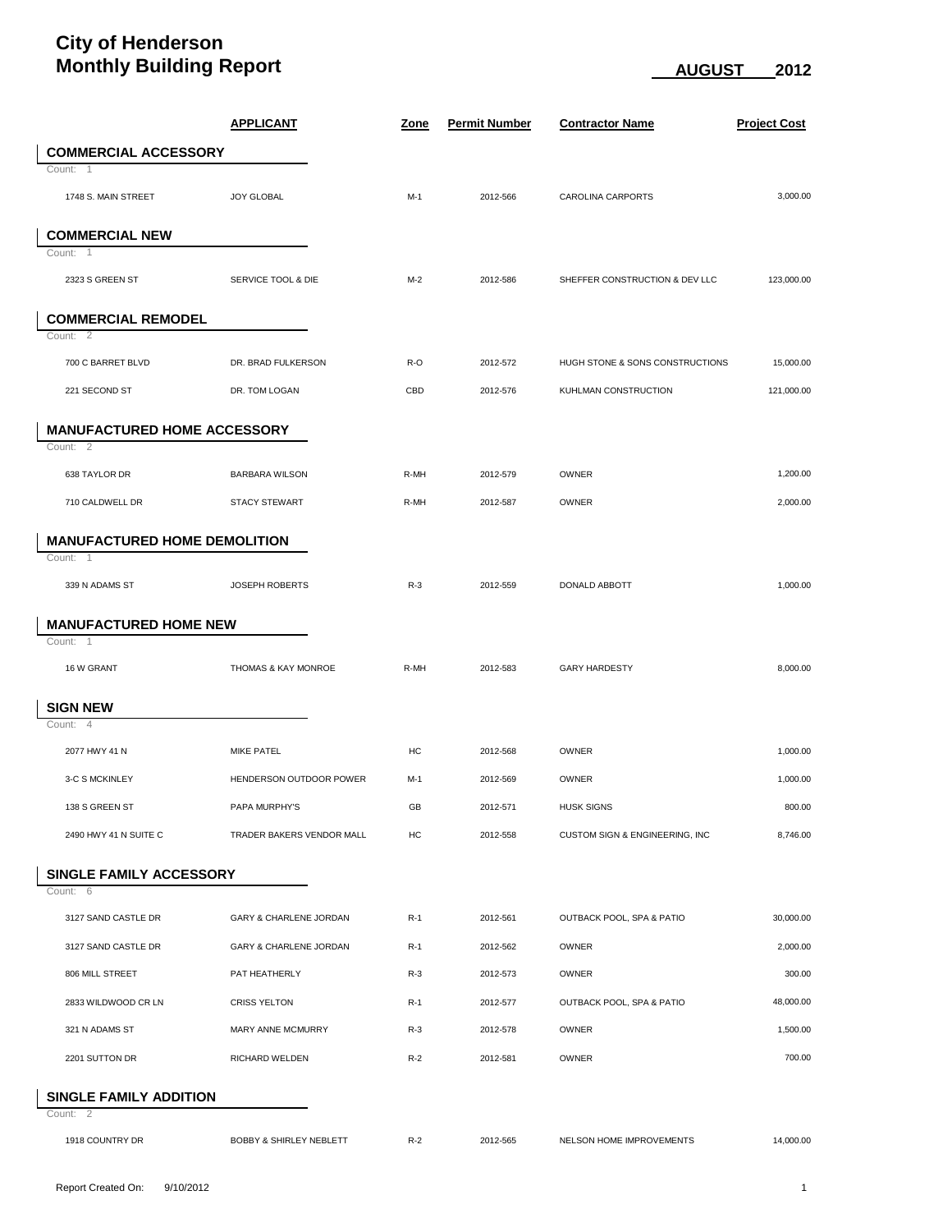## **City of Henderson Monthly Building Report** August 2012 **AUGUST** 2012

|                                    |                                     | <b>APPLICANT</b>                   | <u>Zone</u> | <b>Permit Number</b> | <b>Contractor Name</b>          | <b>Project Cost</b> |  |  |  |
|------------------------------------|-------------------------------------|------------------------------------|-------------|----------------------|---------------------------------|---------------------|--|--|--|
|                                    | <b>COMMERCIAL ACCESSORY</b>         |                                    |             |                      |                                 |                     |  |  |  |
|                                    | Count: 1                            |                                    |             |                      |                                 |                     |  |  |  |
|                                    | 1748 S. MAIN STREET                 | <b>JOY GLOBAL</b>                  | $M-1$       | 2012-566             | <b>CAROLINA CARPORTS</b>        | 3,000.00            |  |  |  |
|                                    |                                     |                                    |             |                      |                                 |                     |  |  |  |
|                                    | <b>COMMERCIAL NEW</b><br>Count: 1   |                                    |             |                      |                                 |                     |  |  |  |
|                                    |                                     |                                    | $M-2$       |                      |                                 | 123,000.00          |  |  |  |
|                                    | 2323 S GREEN ST                     | SERVICE TOOL & DIE                 |             | 2012-586             | SHEFFER CONSTRUCTION & DEV LLC  |                     |  |  |  |
|                                    | <b>COMMERCIAL REMODEL</b>           |                                    |             |                      |                                 |                     |  |  |  |
|                                    | Count: 2                            |                                    |             |                      |                                 |                     |  |  |  |
|                                    | 700 C BARRET BLVD                   | DR. BRAD FULKERSON                 | R-O         | 2012-572             | HUGH STONE & SONS CONSTRUCTIONS | 15,000.00           |  |  |  |
|                                    | 221 SECOND ST                       | DR. TOM LOGAN                      | CBD         | 2012-576             | KUHLMAN CONSTRUCTION            | 121,000.00          |  |  |  |
|                                    |                                     |                                    |             |                      |                                 |                     |  |  |  |
| <b>MANUFACTURED HOME ACCESSORY</b> |                                     |                                    |             |                      |                                 |                     |  |  |  |
|                                    | Count: 2                            |                                    |             |                      |                                 |                     |  |  |  |
|                                    | 638 TAYLOR DR                       | <b>BARBARA WILSON</b>              | R-MH        | 2012-579             | OWNER                           | 1,200.00            |  |  |  |
|                                    | 710 CALDWELL DR                     | <b>STACY STEWART</b>               | R-MH        | 2012-587             | OWNER                           | 2,000.00            |  |  |  |
|                                    | <b>MANUFACTURED HOME DEMOLITION</b> |                                    |             |                      |                                 |                     |  |  |  |
|                                    | Count: 1                            |                                    |             |                      |                                 |                     |  |  |  |
|                                    | 339 N ADAMS ST                      | JOSEPH ROBERTS                     | $R-3$       | 2012-559             | DONALD ABBOTT                   | 1,000.00            |  |  |  |
|                                    |                                     |                                    |             |                      |                                 |                     |  |  |  |
|                                    | <b>MANUFACTURED HOME NEW</b>        |                                    |             |                      |                                 |                     |  |  |  |
|                                    | Count: 1                            |                                    |             |                      |                                 |                     |  |  |  |
|                                    | 16 W GRANT                          | THOMAS & KAY MONROE                | R-MH        | 2012-583             | <b>GARY HARDESTY</b>            | 8,000.00            |  |  |  |
|                                    | <b>SIGN NEW</b>                     |                                    |             |                      |                                 |                     |  |  |  |
|                                    | Count: 4                            |                                    |             |                      |                                 |                     |  |  |  |
|                                    | 2077 HWY 41 N                       | <b>MIKE PATEL</b>                  | HC          | 2012-568             | OWNER                           | 1,000.00            |  |  |  |
|                                    | 3-C S MCKINLEY                      | HENDERSON OUTDOOR POWER            | M-1         | 2012-569             | <b>OWNER</b>                    | 1,000.00            |  |  |  |
|                                    |                                     |                                    |             |                      |                                 |                     |  |  |  |
|                                    | 138 S GREEN ST                      | PAPA MURPHY'S                      | GB          | 2012-571             | <b>HUSK SIGNS</b>               | 800.00              |  |  |  |
|                                    | 2490 HWY 41 N SUITE C               | TRADER BAKERS VENDOR MALL          | HC          | 2012-558             | CUSTOM SIGN & ENGINEERING, INC  | 8,746.00            |  |  |  |
|                                    | SINGLE FAMILY ACCESSORY             |                                    |             |                      |                                 |                     |  |  |  |
|                                    | Count: 6                            |                                    |             |                      |                                 |                     |  |  |  |
|                                    | 3127 SAND CASTLE DR                 | GARY & CHARLENE JORDAN             | $R-1$       | 2012-561             | OUTBACK POOL, SPA & PATIO       | 30,000.00           |  |  |  |
|                                    | 3127 SAND CASTLE DR                 | GARY & CHARLENE JORDAN             | $R-1$       | 2012-562             | OWNER                           | 2,000.00            |  |  |  |
|                                    |                                     | PAT HEATHERLY                      |             |                      |                                 |                     |  |  |  |
|                                    | 806 MILL STREET                     |                                    | $R-3$       | 2012-573             | OWNER                           | 300.00              |  |  |  |
|                                    | 2833 WILDWOOD CR LN                 | <b>CRISS YELTON</b>                | $R-1$       | 2012-577             | OUTBACK POOL, SPA & PATIO       | 48,000.00           |  |  |  |
|                                    | 321 N ADAMS ST                      | MARY ANNE MCMURRY                  | $R-3$       | 2012-578             | OWNER                           | 1,500.00            |  |  |  |
|                                    | 2201 SUTTON DR                      | RICHARD WELDEN                     | $R-2$       | 2012-581             | OWNER                           | 700.00              |  |  |  |
|                                    |                                     |                                    |             |                      |                                 |                     |  |  |  |
| SINGLE FAMILY ADDITION<br>Count: 2 |                                     |                                    |             |                      |                                 |                     |  |  |  |
|                                    | 1918 COUNTRY DR                     | <b>BOBBY &amp; SHIRLEY NEBLETT</b> | $R-2$       | 2012-565             | NELSON HOME IMPROVEMENTS        | 14,000.00           |  |  |  |
|                                    |                                     |                                    |             |                      |                                 |                     |  |  |  |